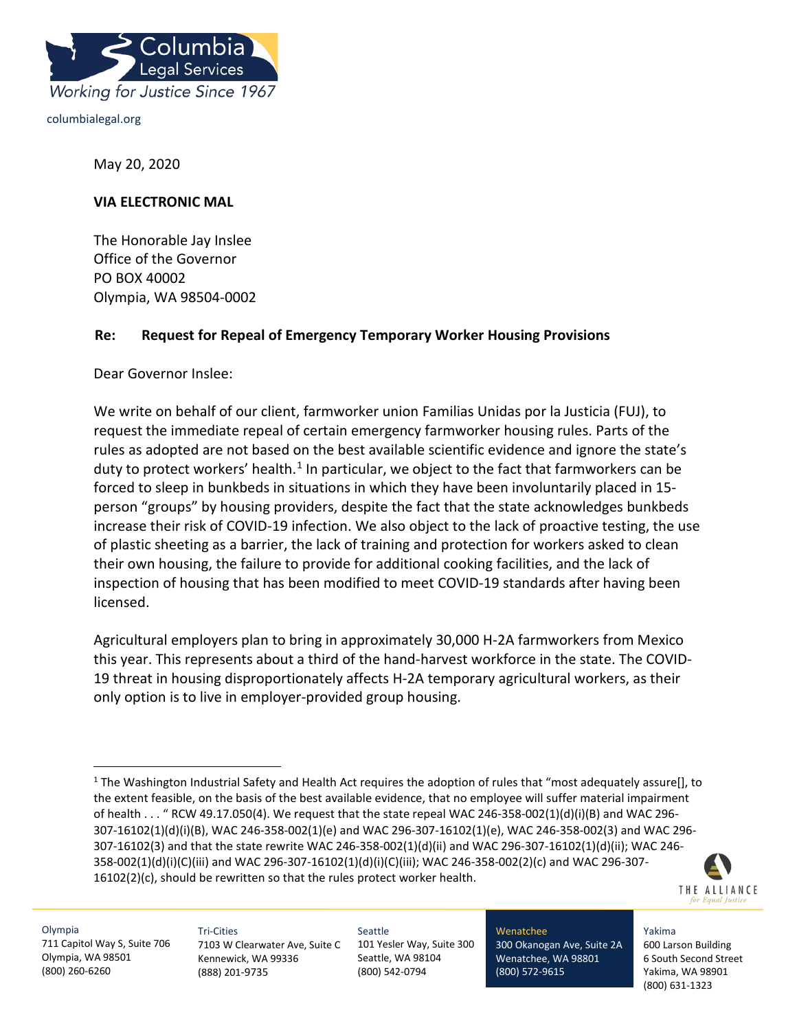

columbialegal.org

May 20, 2020

#### **VIA ELECTRONIC MAL**

The Honorable Jay Inslee Office of the Governor PO BOX 40002 Olympia, WA 98504-0002

## **Re: Request for Repeal of Emergency Temporary Worker Housing Provisions**

Dear Governor Inslee:

We write on behalf of our client, farmworker union Familias Unidas por la Justicia (FUJ), to request the immediate repeal of certain emergency farmworker housing rules. Parts of the rules as adopted are not based on the best available scientific evidence and ignore the state's duty to protect workers' health.<sup>[1](#page-0-0)</sup> In particular, we object to the fact that farmworkers can be forced to sleep in bunkbeds in situations in which they have been involuntarily placed in 15 person "groups" by housing providers, despite the fact that the state acknowledges bunkbeds increase their risk of COVID-19 infection. We also object to the lack of proactive testing, the use of plastic sheeting as a barrier, the lack of training and protection for workers asked to clean their own housing, the failure to provide for additional cooking facilities, and the lack of inspection of housing that has been modified to meet COVID-19 standards after having been licensed.

Agricultural employers plan to bring in approximately 30,000 H-2A farmworkers from Mexico this year. This represents about a third of the hand-harvest workforce in the state. The COVID-19 threat in housing disproportionately affects H-2A temporary agricultural workers, as their only option is to live in employer-provided group housing.

<span id="page-0-0"></span><sup>&</sup>lt;sup>1</sup> The Washington Industrial Safety and Health Act requires the adoption of rules that "most adequately assure[], to the extent feasible, on the basis of the best available evidence, that no employee will suffer material impairment of health . . . " RCW 49.17.050(4). We request that the state repeal WAC 246-358-002(1)(d)(i)(B) and WAC 296- 307-16102(1)(d)(i)(B), WAC 246-358-002(1)(e) and WAC 296-307-16102(1)(e), WAC 246-358-002(3) and WAC 296- 307-16102(3) and that the state rewrite WAC 246-358-002(1)(d)(ii) and WAC 296-307-16102(1)(d)(ii); WAC 246- 358-002(1)(d)(i)(C)(iii) and WAC 296-307-16102(1)(d)(i)(C)(iii); WAC 246-358-002(2)(c) and WAC 296-307- 16102(2)(c), should be rewritten so that the rules protect worker health.



Olympia 711 Capitol Way S, Suite 706 Olympia, WA 98501 (800) 260-6260

Tri-Cities 7103 W Clearwater Ave, Suite C Kennewick, WA 99336 (888) 201-9735

Seattle 101 Yesler Way, Suite 300 Seattle, WA 98104 (800) 542-0794

Wenatchee 300 Okanogan Ave, Suite 2A Wenatchee, WA 98801 (800) 572-9615

Yakima 600 Larson Building 6 South Second Street Yakima, WA 98901 (800) 631-1323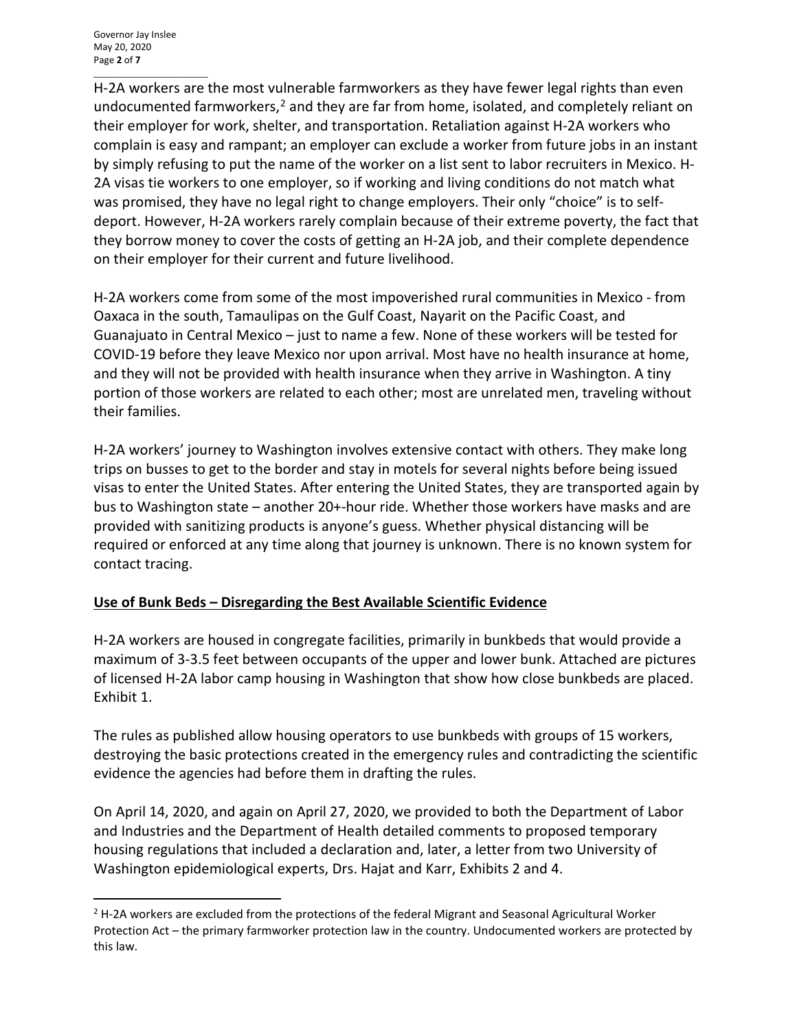\_\_\_\_\_\_\_\_\_\_\_\_\_\_\_\_\_\_\_\_\_\_ H-2A workers are the most vulnerable farmworkers as they have fewer legal rights than even undocumented farmworkers,<sup>[2](#page-1-0)</sup> and they are far from home, isolated, and completely reliant on their employer for work, shelter, and transportation. Retaliation against H-2A workers who complain is easy and rampant; an employer can exclude a worker from future jobs in an instant by simply refusing to put the name of the worker on a list sent to labor recruiters in Mexico. H-2A visas tie workers to one employer, so if working and living conditions do not match what was promised, they have no legal right to change employers. Their only "choice" is to selfdeport. However, H-2A workers rarely complain because of their extreme poverty, the fact that they borrow money to cover the costs of getting an H-2A job, and their complete dependence on their employer for their current and future livelihood.

H-2A workers come from some of the most impoverished rural communities in Mexico - from Oaxaca in the south, Tamaulipas on the Gulf Coast, Nayarit on the Pacific Coast, and Guanajuato in Central Mexico – just to name a few. None of these workers will be tested for COVID-19 before they leave Mexico nor upon arrival. Most have no health insurance at home, and they will not be provided with health insurance when they arrive in Washington. A tiny portion of those workers are related to each other; most are unrelated men, traveling without their families.

H-2A workers' journey to Washington involves extensive contact with others. They make long trips on busses to get to the border and stay in motels for several nights before being issued visas to enter the United States. After entering the United States, they are transported again by bus to Washington state – another 20+-hour ride. Whether those workers have masks and are provided with sanitizing products is anyone's guess. Whether physical distancing will be required or enforced at any time along that journey is unknown. There is no known system for contact tracing.

# **Use of Bunk Beds – Disregarding the Best Available Scientific Evidence**

H-2A workers are housed in congregate facilities, primarily in bunkbeds that would provide a maximum of 3-3.5 feet between occupants of the upper and lower bunk. Attached are pictures of licensed H-2A labor camp housing in Washington that show how close bunkbeds are placed. Exhibit 1.

The rules as published allow housing operators to use bunkbeds with groups of 15 workers, destroying the basic protections created in the emergency rules and contradicting the scientific evidence the agencies had before them in drafting the rules.

On April 14, 2020, and again on April 27, 2020, we provided to both the Department of Labor and Industries and the Department of Health detailed comments to proposed temporary housing regulations that included a declaration and, later, a letter from two University of Washington epidemiological experts, Drs. Hajat and Karr, Exhibits 2 and 4.

<span id="page-1-0"></span> $<sup>2</sup>$  H-2A workers are excluded from the protections of the federal Migrant and Seasonal Agricultural Worker</sup> Protection Act – the primary farmworker protection law in the country. Undocumented workers are protected by this law.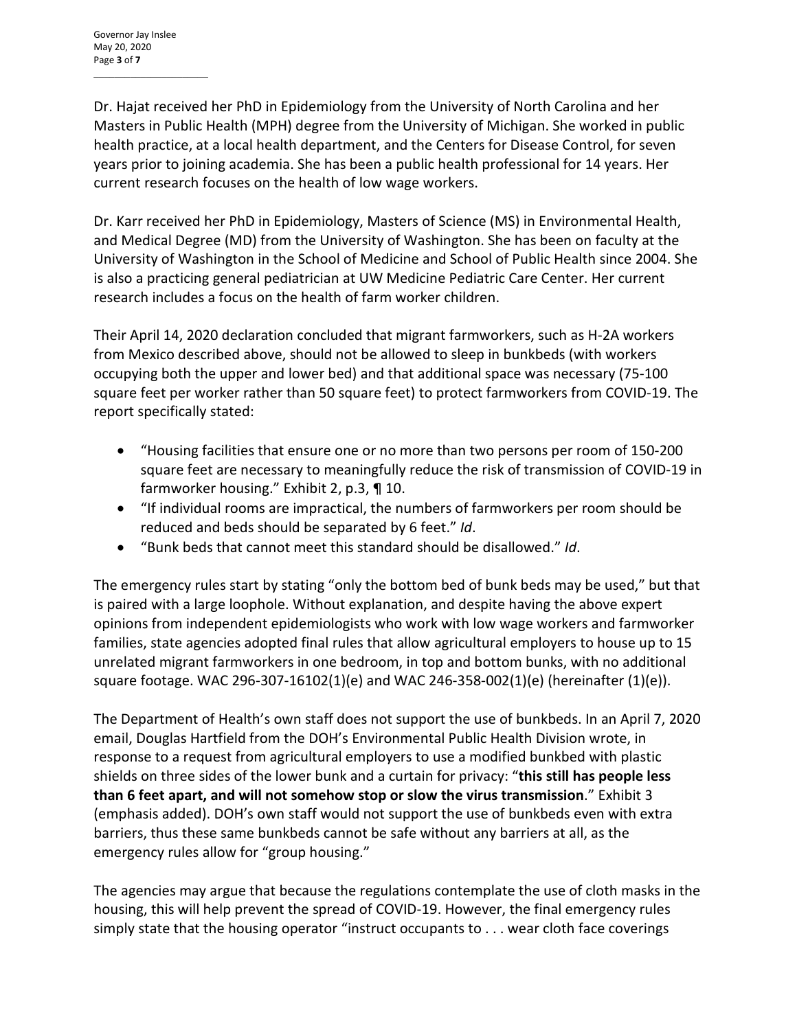\_\_\_\_\_\_\_\_\_\_\_\_\_\_\_\_\_\_\_\_\_\_

Dr. Hajat received her PhD in Epidemiology from the University of North Carolina and her Masters in Public Health (MPH) degree from the University of Michigan. She worked in public health practice, at a local health department, and the Centers for Disease Control, for seven years prior to joining academia. She has been a public health professional for 14 years. Her current research focuses on the health of low wage workers.

Dr. Karr received her PhD in Epidemiology, Masters of Science (MS) in Environmental Health, and Medical Degree (MD) from the University of Washington. She has been on faculty at the University of Washington in the School of Medicine and School of Public Health since 2004. She is also a practicing general pediatrician at UW Medicine Pediatric Care Center. Her current research includes a focus on the health of farm worker children.

Their April 14, 2020 declaration concluded that migrant farmworkers, such as H-2A workers from Mexico described above, should not be allowed to sleep in bunkbeds (with workers occupying both the upper and lower bed) and that additional space was necessary (75-100 square feet per worker rather than 50 square feet) to protect farmworkers from COVID-19. The report specifically stated:

- "Housing facilities that ensure one or no more than two persons per room of 150-200 square feet are necessary to meaningfully reduce the risk of transmission of COVID-19 in farmworker housing." Exhibit 2, p.3, ¶ 10.
- "If individual rooms are impractical, the numbers of farmworkers per room should be reduced and beds should be separated by 6 feet." *Id*.
- "Bunk beds that cannot meet this standard should be disallowed." *Id*.

The emergency rules start by stating "only the bottom bed of bunk beds may be used," but that is paired with a large loophole. Without explanation, and despite having the above expert opinions from independent epidemiologists who work with low wage workers and farmworker families, state agencies adopted final rules that allow agricultural employers to house up to 15 unrelated migrant farmworkers in one bedroom, in top and bottom bunks, with no additional square footage. WAC 296-307-16102(1)(e) and WAC 246-358-002(1)(e) (hereinafter (1)(e)).

The Department of Health's own staff does not support the use of bunkbeds. In an April 7, 2020 email, Douglas Hartfield from the DOH's Environmental Public Health Division wrote, in response to a request from agricultural employers to use a modified bunkbed with plastic shields on three sides of the lower bunk and a curtain for privacy: "**this still has people less than 6 feet apart, and will not somehow stop or slow the virus transmission**." Exhibit 3 (emphasis added). DOH's own staff would not support the use of bunkbeds even with extra barriers, thus these same bunkbeds cannot be safe without any barriers at all, as the emergency rules allow for "group housing."

The agencies may argue that because the regulations contemplate the use of cloth masks in the housing, this will help prevent the spread of COVID-19. However, the final emergency rules simply state that the housing operator "instruct occupants to . . . wear cloth face coverings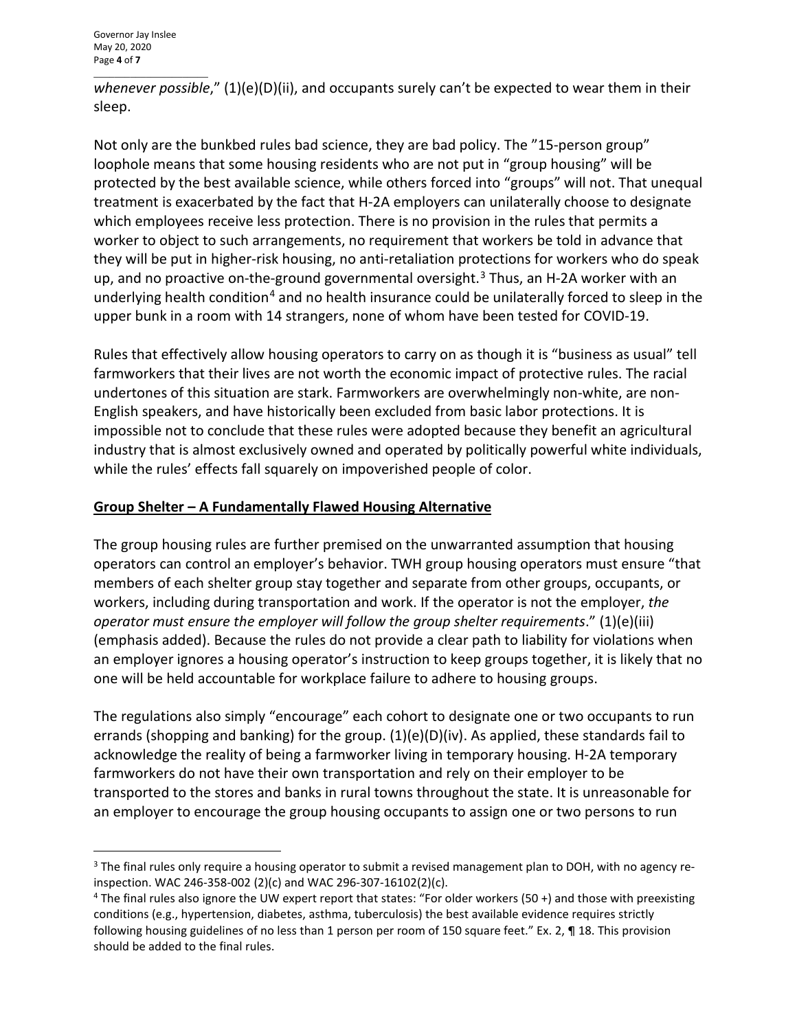\_\_\_\_\_\_\_\_\_\_\_\_\_\_\_\_\_\_\_\_\_\_ *whenever possible*," (1)(e)(D)(ii), and occupants surely can't be expected to wear them in their sleep.

Not only are the bunkbed rules bad science, they are bad policy. The "15-person group" loophole means that some housing residents who are not put in "group housing" will be protected by the best available science, while others forced into "groups" will not. That unequal treatment is exacerbated by the fact that H-2A employers can unilaterally choose to designate which employees receive less protection. There is no provision in the rules that permits a worker to object to such arrangements, no requirement that workers be told in advance that they will be put in higher-risk housing, no anti-retaliation protections for workers who do speak up, and no proactive on-the-ground governmental oversight.<sup>[3](#page-3-0)</sup> Thus, an H-2A worker with an underlying health condition<sup>[4](#page-3-1)</sup> and no health insurance could be unilaterally forced to sleep in the upper bunk in a room with 14 strangers, none of whom have been tested for COVID-19.

Rules that effectively allow housing operators to carry on as though it is "business as usual" tell farmworkers that their lives are not worth the economic impact of protective rules. The racial undertones of this situation are stark. Farmworkers are overwhelmingly non-white, are non-English speakers, and have historically been excluded from basic labor protections. It is impossible not to conclude that these rules were adopted because they benefit an agricultural industry that is almost exclusively owned and operated by politically powerful white individuals, while the rules' effects fall squarely on impoverished people of color.

# **Group Shelter – A Fundamentally Flawed Housing Alternative**

The group housing rules are further premised on the unwarranted assumption that housing operators can control an employer's behavior. TWH group housing operators must ensure "that members of each shelter group stay together and separate from other groups, occupants, or workers, including during transportation and work. If the operator is not the employer, *the operator must ensure the employer will follow the group shelter requirements*." (1)(e)(iii) (emphasis added). Because the rules do not provide a clear path to liability for violations when an employer ignores a housing operator's instruction to keep groups together, it is likely that no one will be held accountable for workplace failure to adhere to housing groups.

The regulations also simply "encourage" each cohort to designate one or two occupants to run errands (shopping and banking) for the group.  $(1)(e)(D)(iv)$ . As applied, these standards fail to acknowledge the reality of being a farmworker living in temporary housing. H-2A temporary farmworkers do not have their own transportation and rely on their employer to be transported to the stores and banks in rural towns throughout the state. It is unreasonable for an employer to encourage the group housing occupants to assign one or two persons to run

<span id="page-3-0"></span><sup>&</sup>lt;sup>3</sup> The final rules only require a housing operator to submit a revised management plan to DOH, with no agency reinspection. WAC 246-358-002 (2)(c) and WAC 296-307-16102(2)(c).

<span id="page-3-1"></span><sup>4</sup> The final rules also ignore the UW expert report that states: "For older workers (50 +) and those with preexisting conditions (e.g., hypertension, diabetes, asthma, tuberculosis) the best available evidence requires strictly following housing guidelines of no less than 1 person per room of 150 square feet." Ex. 2, ¶ 18. This provision should be added to the final rules.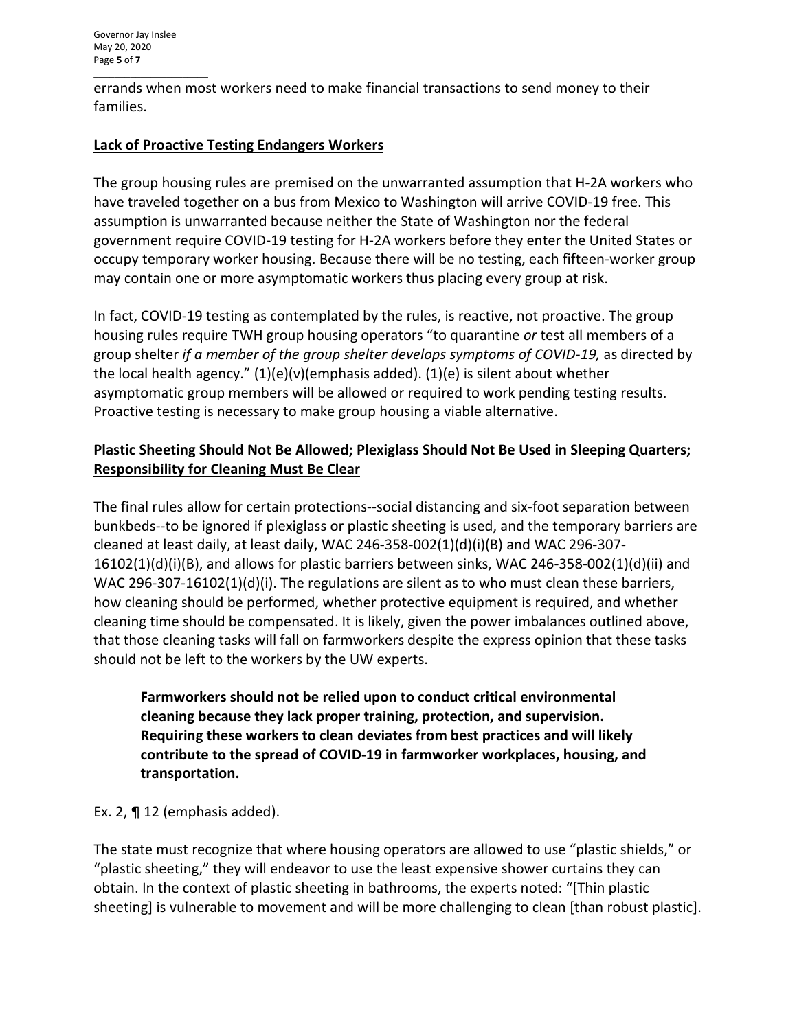\_\_\_\_\_\_\_\_\_\_\_\_\_\_\_\_\_\_\_\_\_\_ errands when most workers need to make financial transactions to send money to their families.

## **Lack of Proactive Testing Endangers Workers**

The group housing rules are premised on the unwarranted assumption that H-2A workers who have traveled together on a bus from Mexico to Washington will arrive COVID-19 free. This assumption is unwarranted because neither the State of Washington nor the federal government require COVID-19 testing for H-2A workers before they enter the United States or occupy temporary worker housing. Because there will be no testing, each fifteen-worker group may contain one or more asymptomatic workers thus placing every group at risk.

In fact, COVID-19 testing as contemplated by the rules, is reactive, not proactive. The group housing rules require TWH group housing operators "to quarantine *or* test all members of a group shelter *if a member of the group shelter develops symptoms of COVID-19,* as directed by the local health agency."  $(1)(e)(v)(emphasis added)$ .  $(1)(e)$  is silent about whether asymptomatic group members will be allowed or required to work pending testing results. Proactive testing is necessary to make group housing a viable alternative.

# **Plastic Sheeting Should Not Be Allowed; Plexiglass Should Not Be Used in Sleeping Quarters; Responsibility for Cleaning Must Be Clear**

The final rules allow for certain protections--social distancing and six-foot separation between bunkbeds--to be ignored if plexiglass or plastic sheeting is used, and the temporary barriers are cleaned at least daily, at least daily, WAC 246-358-002(1)(d)(i)(B) and WAC 296-307-16102(1)(d)(i)(B), and allows for plastic barriers between sinks, WAC 246-358-002(1)(d)(ii) and WAC 296-307-16102(1)(d)(i). The regulations are silent as to who must clean these barriers, how cleaning should be performed, whether protective equipment is required, and whether cleaning time should be compensated. It is likely, given the power imbalances outlined above, that those cleaning tasks will fall on farmworkers despite the express opinion that these tasks should not be left to the workers by the UW experts.

**Farmworkers should not be relied upon to conduct critical environmental cleaning because they lack proper training, protection, and supervision. Requiring these workers to clean deviates from best practices and will likely contribute to the spread of COVID-19 in farmworker workplaces, housing, and transportation.**

Ex. 2, ¶ 12 (emphasis added).

The state must recognize that where housing operators are allowed to use "plastic shields," or "plastic sheeting," they will endeavor to use the least expensive shower curtains they can obtain. In the context of plastic sheeting in bathrooms, the experts noted: "[Thin plastic sheeting] is vulnerable to movement and will be more challenging to clean [than robust plastic].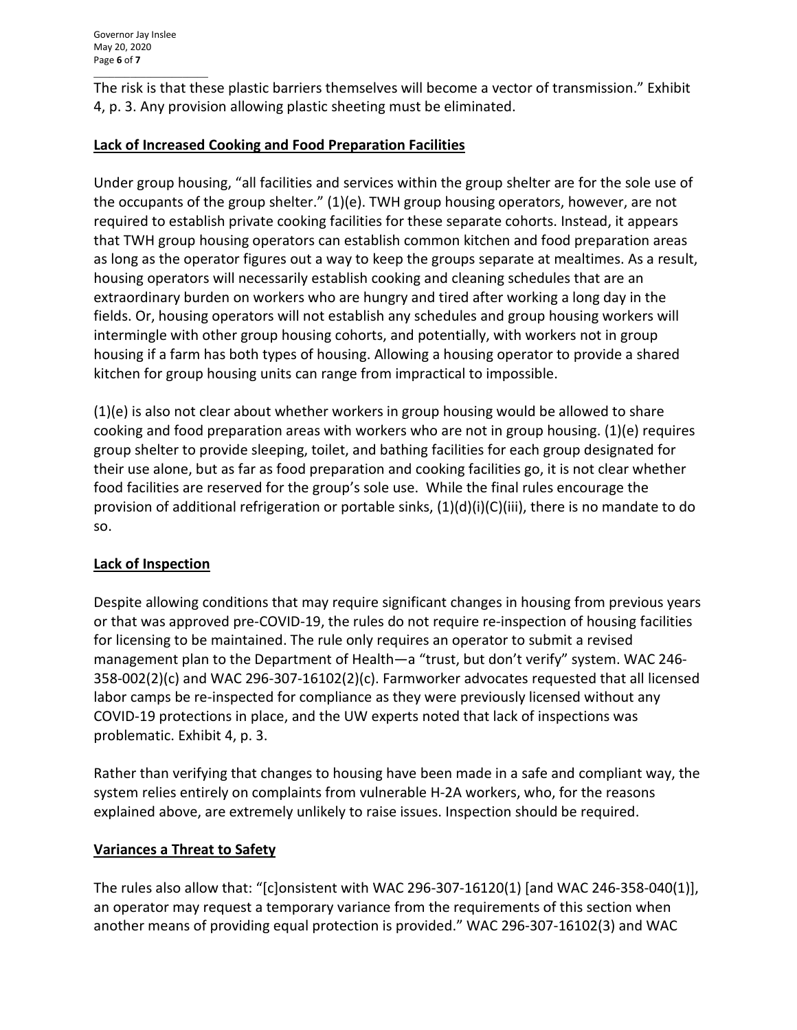\_\_\_\_\_\_\_\_\_\_\_\_\_\_\_\_\_\_\_\_\_\_ The risk is that these plastic barriers themselves will become a vector of transmission." Exhibit 4, p. 3. Any provision allowing plastic sheeting must be eliminated.

# **Lack of Increased Cooking and Food Preparation Facilities**

Under group housing, "all facilities and services within the group shelter are for the sole use of the occupants of the group shelter." (1)(e). TWH group housing operators, however, are not required to establish private cooking facilities for these separate cohorts. Instead, it appears that TWH group housing operators can establish common kitchen and food preparation areas as long as the operator figures out a way to keep the groups separate at mealtimes. As a result, housing operators will necessarily establish cooking and cleaning schedules that are an extraordinary burden on workers who are hungry and tired after working a long day in the fields. Or, housing operators will not establish any schedules and group housing workers will intermingle with other group housing cohorts, and potentially, with workers not in group housing if a farm has both types of housing. Allowing a housing operator to provide a shared kitchen for group housing units can range from impractical to impossible.

(1)(e) is also not clear about whether workers in group housing would be allowed to share cooking and food preparation areas with workers who are not in group housing. (1)(e) requires group shelter to provide sleeping, toilet, and bathing facilities for each group designated for their use alone, but as far as food preparation and cooking facilities go, it is not clear whether food facilities are reserved for the group's sole use. While the final rules encourage the provision of additional refrigeration or portable sinks,  $(1)(d)(i)(C)(iii)$ , there is no mandate to do so.

## **Lack of Inspection**

Despite allowing conditions that may require significant changes in housing from previous years or that was approved pre-COVID-19, the rules do not require re-inspection of housing facilities for licensing to be maintained. The rule only requires an operator to submit a revised management plan to the Department of Health—a "trust, but don't verify" system. WAC 246- 358-002(2)(c) and WAC 296-307-16102(2)(c). Farmworker advocates requested that all licensed labor camps be re-inspected for compliance as they were previously licensed without any COVID-19 protections in place, and the UW experts noted that lack of inspections was problematic. Exhibit 4, p. 3.

Rather than verifying that changes to housing have been made in a safe and compliant way, the system relies entirely on complaints from vulnerable H-2A workers, who, for the reasons explained above, are extremely unlikely to raise issues. Inspection should be required.

## **Variances a Threat to Safety**

The rules also allow that: " $[c]$ onsistent with WAC 296-307-16120(1) [and WAC 246-358-040(1)], an operator may request a temporary variance from the requirements of this section when another means of providing equal protection is provided." WAC 296-307-16102(3) and WAC